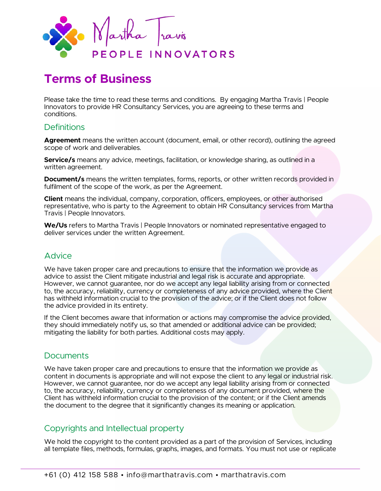

# **Terms of Business**

Please take the time to read these terms and conditions. By engaging Martha Travis | People Innovators to provide HR Consultancy Services, you are agreeing to these terms and conditions.

## **Definitions**

**Agreement** means the written account (document, email, or other record), outlining the agreed scope of work and deliverables.

**Service/s** means any advice, meetings, facilitation, or knowledge sharing, as outlined in a written agreement.

**Document/s** means the written templates, forms, reports, or other written records provided in fulfilment of the scope of the work, as per the Agreement.

**Client** means the individual, company, corporation, officers, employees, or other authorised representative, who is party to the Agreement to obtain HR Consultancy services from Martha Travis | People Innovators.

**We/Us** refers to Martha Travis | People Innovators or nominated representative engaged to deliver services under the written Agreement.

#### Advice

We have taken proper care and precautions to ensure that the information we provide as advice to assist the Client mitigate industrial and legal risk is accurate and appropriate. However, we cannot guarantee, nor do we accept any legal liability arising from or connected to, the accuracy, reliability, currency or completeness of any advice provided, where the Client has withheld information crucial to the provision of the advice; or if the Client does not follow the advice provided in its entirety.

If the Client becomes aware that information or actions may compromise the advice provided, they should immediately notify us, so that amended or additional advice can be provided; mitigating the liability for both parties. Additional costs may apply.

#### **Documents**

We have taken proper care and precautions to ensure that the information we provide as content in documents is appropriate and will not expose the client to any legal or industrial risk. However, we cannot guarantee, nor do we accept any legal liability arising from or connected to, the accuracy, reliability, currency or completeness of any document provided, where the Client has withheld information crucial to the provision of the content; or if the Client amends the document to the degree that it significantly changes its meaning or application.

#### Copyrights and Intellectual property

We hold the copyright to the content provided as a part of the provision of Services, including all template files, methods, formulas, graphs, images, and formats. You must not use or replicate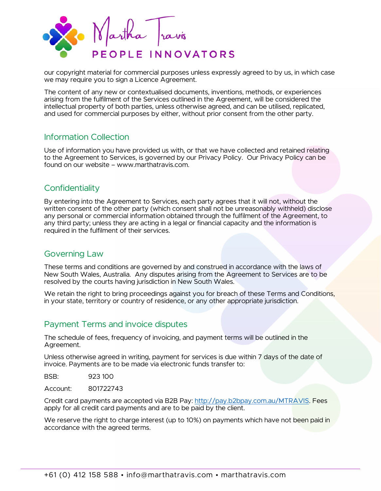

our copyright material for commercial purposes unless expressly agreed to by us, in which case we may require you to sign a Licence Agreement.

The content of any new or contextualised documents, inventions, methods, or experiences arising from the fulfilment of the Services outlined in the Agreement, will be considered the intellectual property of both parties, unless otherwise agreed, and can be utilised, replicated, and used for commercial purposes by either, without prior consent from the other party.

## Information Collection

Use of information you have provided us with, or that we have collected and retained relating to the Agreement to Services, is governed by our Privacy Policy. Our Privacy Policy can be found on our website – www.marthatravis.com.

## **Confidentiality**

By entering into the Agreement to Services, each party agrees that it will not, without the written consent of the other party (which consent shall not be unreasonably withheld) disclose any personal or commercial information obtained through the fulfilment of the Agreement, to any third party; unless they are acting in a legal or financial capacity and the information is required in the fulfilment of their services.

# Governing Law

These terms and conditions are governed by and construed in accordance with the laws of New South Wales, Australia. Any disputes arising from the Agreement to Services are to be resolved by the courts having jurisdiction in New South Wales.

We retain the right to bring proceedings against you for breach of these Terms and Conditions, in your state, territory or country of residence, or any other appropriate jurisdiction.

# Payment Terms and invoice disputes

The schedule of fees, frequency of invoicing, and payment terms will be outlined in the Agreement.

Unless otherwise agreed in writing, payment for services is due within 7 days of the date of invoice. Payments are to be made via electronic funds transfer to:

BSB: 923 100

Account: 801722743

Credit card payments are accepted via B2B Pay: [http://pay.b2bpay.com.au/MTRAVIS.](http://pay.b2bpay.com.au/MTRAVIS) Fees apply for all credit card payments and are to be paid by the client.

We reserve the right to charge interest (up to 10%) on payments which have not been paid in accordance with the agreed terms.